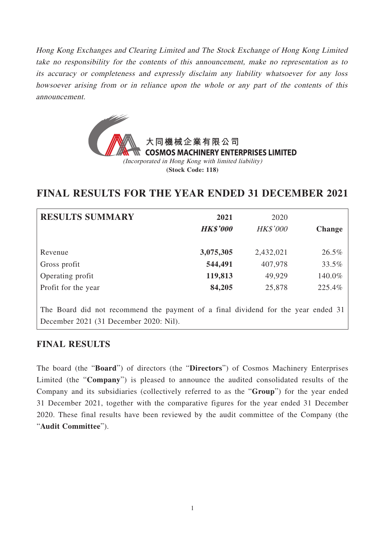Hong Kong Exchanges and Clearing Limited and The Stock Exchange of Hong Kong Limited take no responsibility for the contents of this announcement, make no representation as to its accuracy or completeness and expressly disclaim any liability whatsoever for any loss howsoever arising from or in reliance upon the whole or any part of the contents of this announcement.



# **FINAL RESULTS FOR THE YEAR ENDED 31 DECEMBER 2021**

| <b>RESULTS SUMMARY</b>                                                                                                      | 2021<br><b>HK\$'000</b> | 2020<br><b>HK\$'000</b> | <b>Change</b> |
|-----------------------------------------------------------------------------------------------------------------------------|-------------------------|-------------------------|---------------|
| Revenue                                                                                                                     | 3,075,305               | 2,432,021               | 26.5%         |
| Gross profit                                                                                                                | 544,491                 | 407,978                 | 33.5%         |
| Operating profit                                                                                                            | 119,813                 | 49,929                  | 140.0%        |
| Profit for the year                                                                                                         | 84,205                  | 25,878                  | 225.4%        |
| The Board did not recommend the payment of a final dividend for the year ended 31<br>December 2021 (31 December 2020: Nil). |                         |                         |               |

## **FINAL RESULTS**

The board (the "**Board**") of directors (the "**Directors**") of Cosmos Machinery Enterprises Limited (the "**Company**") is pleased to announce the audited consolidated results of the Company and its subsidiaries (collectively referred to as the "**Group**") for the year ended 31 December 2021, together with the comparative figures for the year ended 31 December 2020. These final results have been reviewed by the audit committee of the Company (the "**Audit Committee**").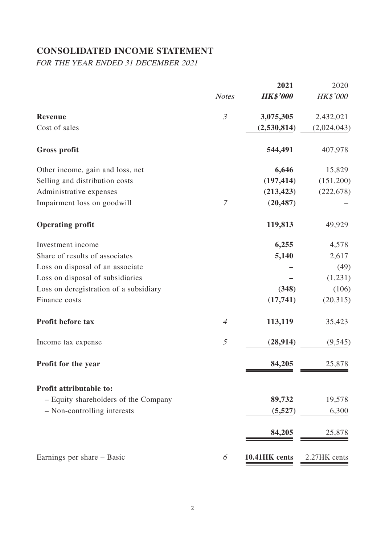# **CONSOLIDATED INCOME STATEMENT**

FOR THE YEAR ENDED 31 DECEMBER 2021

|                                        |                | 2021            | 2020         |
|----------------------------------------|----------------|-----------------|--------------|
|                                        | <b>Notes</b>   | <b>HK\$'000</b> | HK\$'000     |
| <b>Revenue</b>                         | $\mathfrak{Z}$ | 3,075,305       | 2,432,021    |
| Cost of sales                          |                | (2,530,814)     | (2,024,043)  |
| <b>Gross profit</b>                    |                | 544,491         | 407,978      |
| Other income, gain and loss, net       |                | 6,646           | 15,829       |
| Selling and distribution costs         |                | (197, 414)      | (151,200)    |
| Administrative expenses                |                | (213, 423)      | (222, 678)   |
| Impairment loss on goodwill            | $\mathcal T$   | (20, 487)       |              |
| <b>Operating profit</b>                |                | 119,813         | 49,929       |
| Investment income                      |                | 6,255           | 4,578        |
| Share of results of associates         |                | 5,140           | 2,617        |
| Loss on disposal of an associate       |                |                 | (49)         |
| Loss on disposal of subsidiaries       |                |                 | (1,231)      |
| Loss on deregistration of a subsidiary |                | (348)           | (106)        |
| Finance costs                          |                | (17,741)        | (20,315)     |
| Profit before tax                      | $\overline{A}$ | 113,119         | 35,423       |
| Income tax expense                     | 5              | (28, 914)       | (9, 545)     |
| Profit for the year                    |                | 84,205          | 25,878       |
| Profit attributable to:                |                |                 |              |
| - Equity shareholders of the Company   |                | 89,732          | 19,578       |
| - Non-controlling interests            |                | (5,527)         | 6,300        |
|                                        |                | 84,205          | 25,878       |
| Earnings per share – Basic             | 6              | 10.41HK cents   | 2.27HK cents |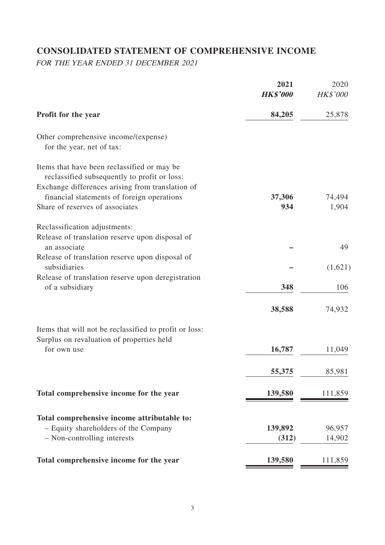# **CONSOLIDATED STATEMENT OF COMPREHENSIVE INCOME**

FOR THE YEAR ENDED 31 DECEMBER 2021

|                                                                                                     | 2021<br><b>HK\$'000</b> | 2020<br><b>HK\$'000</b> |
|-----------------------------------------------------------------------------------------------------|-------------------------|-------------------------|
| <b>Profit for the year</b>                                                                          | 84,205                  | 25,878                  |
| Other comprehensive income/(expense)<br>for the year, net of tax:                                   |                         |                         |
| Items that have been reclassified or may be<br>reclassified subsequently to profit or loss:         |                         |                         |
| Exchange differences arising from translation of                                                    |                         |                         |
| financial statements of foreign operations                                                          | 37,306                  | 74,494                  |
| Share of reserves of associates                                                                     | 934                     | 1,904                   |
| Reclassification adjustments:                                                                       |                         |                         |
| Release of translation reserve upon disposal of                                                     |                         |                         |
| an associate                                                                                        |                         | 49                      |
| Release of translation reserve upon disposal of                                                     |                         |                         |
| subsidiaries                                                                                        |                         | (1,621)                 |
| Release of translation reserve upon deregistration                                                  | 348                     | 106                     |
| of a subsidiary                                                                                     |                         |                         |
|                                                                                                     | 38,588                  | 74,932                  |
| Items that will not be reclassified to profit or loss:<br>Surplus on revaluation of properties held |                         |                         |
| for own use                                                                                         | 16,787                  | 11,049                  |
|                                                                                                     |                         |                         |
|                                                                                                     | 55,375                  | 85,981                  |
| Total comprehensive income for the year                                                             | 139,580                 | 111,859                 |
| Total comprehensive income attributable to:                                                         |                         |                         |
| - Equity shareholders of the Company                                                                | 139,892                 | 96,957                  |
| - Non-controlling interests                                                                         | (312)                   | 14,902                  |
| Total comprehensive income for the year                                                             | 139,580                 | 111,859                 |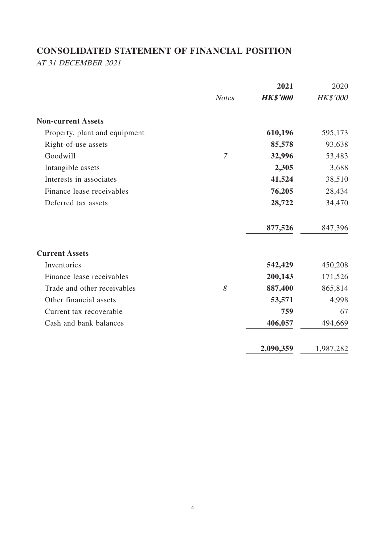# **CONSOLIDATED STATEMENT OF FINANCIAL POSITION**

AT 31 DECEMBER 2021

|                               |                | 2021            | 2020      |
|-------------------------------|----------------|-----------------|-----------|
|                               | <b>Notes</b>   | <b>HK\$'000</b> | HK\$'000  |
| <b>Non-current Assets</b>     |                |                 |           |
| Property, plant and equipment |                | 610,196         | 595,173   |
| Right-of-use assets           |                | 85,578          | 93,638    |
| Goodwill                      | $\overline{7}$ | 32,996          | 53,483    |
| Intangible assets             |                | 2,305           | 3,688     |
| Interests in associates       |                | 41,524          | 38,510    |
| Finance lease receivables     |                | 76,205          | 28,434    |
| Deferred tax assets           |                | 28,722          | 34,470    |
|                               |                | 877,526         | 847,396   |
| <b>Current Assets</b>         |                |                 |           |
| Inventories                   |                | 542,429         | 450,208   |
| Finance lease receivables     |                | 200,143         | 171,526   |
| Trade and other receivables   | 8              | 887,400         | 865,814   |
| Other financial assets        |                | 53,571          | 4,998     |
| Current tax recoverable       |                | 759             | 67        |
| Cash and bank balances        |                | 406,057         | 494,669   |
|                               |                | 2,090,359       | 1,987,282 |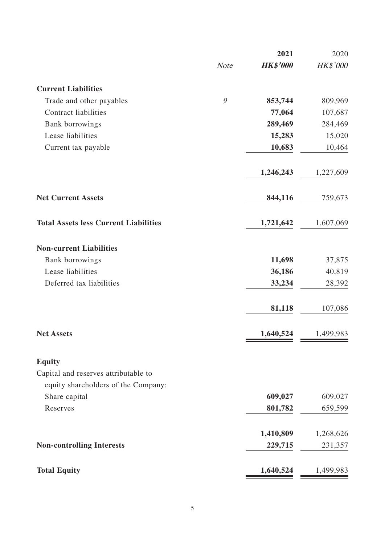|                                              |             | 2021            | 2020      |
|----------------------------------------------|-------------|-----------------|-----------|
|                                              | <b>Note</b> | <b>HK\$'000</b> | HK\$'000  |
| <b>Current Liabilities</b>                   |             |                 |           |
| Trade and other payables                     | 9           | 853,744         | 809,969   |
| <b>Contract liabilities</b>                  |             | 77,064          | 107,687   |
| <b>Bank borrowings</b>                       |             | 289,469         | 284,469   |
| Lease liabilities                            |             | 15,283          | 15,020    |
| Current tax payable                          |             | 10,683          | 10,464    |
|                                              |             | 1,246,243       | 1,227,609 |
| <b>Net Current Assets</b>                    |             | 844,116         | 759,673   |
| <b>Total Assets less Current Liabilities</b> |             | 1,721,642       | 1,607,069 |
| <b>Non-current Liabilities</b>               |             |                 |           |
| <b>Bank borrowings</b>                       |             | 11,698          | 37,875    |
| Lease liabilities                            |             | 36,186          | 40,819    |
| Deferred tax liabilities                     |             | 33,234          | 28,392    |
|                                              |             | 81,118          | 107,086   |
| <b>Net Assets</b>                            |             | 1,640,524       | 1,499,983 |
| <b>Equity</b>                                |             |                 |           |
| Capital and reserves attributable to         |             |                 |           |
| equity shareholders of the Company:          |             |                 |           |
| Share capital                                |             | 609,027         | 609,027   |
| Reserves                                     |             | 801,782         | 659,599   |
|                                              |             | 1,410,809       | 1,268,626 |
| <b>Non-controlling Interests</b>             |             | 229,715         | 231,357   |
| <b>Total Equity</b>                          |             | 1,640,524       | 1,499,983 |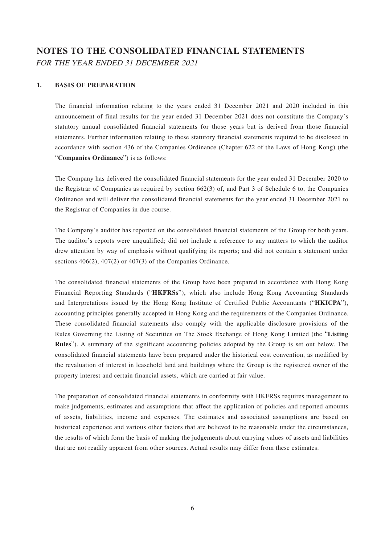# **NOTES TO THE CONSOLIDATED FINANCIAL STATEMENTS** FOR THE YEAR ENDED 31 DECEMBER 2021

#### **1. BASIS OF PREPARATION**

The financial information relating to the years ended 31 December 2021 and 2020 included in this announcement of final results for the year ended 31 December 2021 does not constitute the Company's statutory annual consolidated financial statements for those years but is derived from those financial statements. Further information relating to these statutory financial statements required to be disclosed in accordance with section 436 of the Companies Ordinance (Chapter 622 of the Laws of Hong Kong) (the "**Companies Ordinance**") is as follows:

The Company has delivered the consolidated financial statements for the year ended 31 December 2020 to the Registrar of Companies as required by section 662(3) of, and Part 3 of Schedule 6 to, the Companies Ordinance and will deliver the consolidated financial statements for the year ended 31 December 2021 to the Registrar of Companies in due course.

The Company's auditor has reported on the consolidated financial statements of the Group for both years. The auditor's reports were unqualified; did not include a reference to any matters to which the auditor drew attention by way of emphasis without qualifying its reports; and did not contain a statement under sections 406(2), 407(2) or 407(3) of the Companies Ordinance.

The consolidated financial statements of the Group have been prepared in accordance with Hong Kong Financial Reporting Standards ("**HKFRSs**"), which also include Hong Kong Accounting Standards and Interpretations issued by the Hong Kong Institute of Certified Public Accountants ("**HKICPA**"), accounting principles generally accepted in Hong Kong and the requirements of the Companies Ordinance. These consolidated financial statements also comply with the applicable disclosure provisions of the Rules Governing the Listing of Securities on The Stock Exchange of Hong Kong Limited (the "**Listing Rules**"). A summary of the significant accounting policies adopted by the Group is set out below. The consolidated financial statements have been prepared under the historical cost convention, as modified by the revaluation of interest in leasehold land and buildings where the Group is the registered owner of the property interest and certain financial assets, which are carried at fair value.

The preparation of consolidated financial statements in conformity with HKFRSs requires management to make judgements, estimates and assumptions that affect the application of policies and reported amounts of assets, liabilities, income and expenses. The estimates and associated assumptions are based on historical experience and various other factors that are believed to be reasonable under the circumstances, the results of which form the basis of making the judgements about carrying values of assets and liabilities that are not readily apparent from other sources. Actual results may differ from these estimates.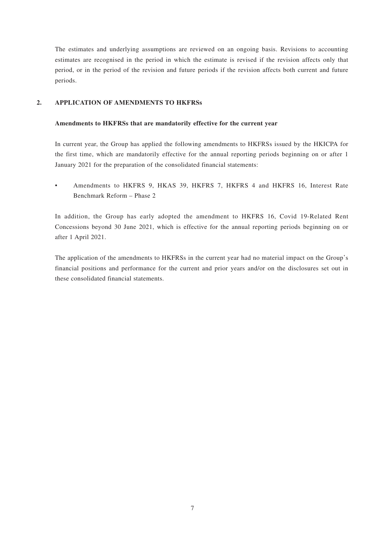The estimates and underlying assumptions are reviewed on an ongoing basis. Revisions to accounting estimates are recognised in the period in which the estimate is revised if the revision affects only that period, or in the period of the revision and future periods if the revision affects both current and future periods.

### **2. APPLICATION OF AMENDMENTS TO HKFRSs**

#### **Amendments to HKFRSs that are mandatorily effective for the current year**

In current year, the Group has applied the following amendments to HKFRSs issued by the HKICPA for the first time, which are mandatorily effective for the annual reporting periods beginning on or after 1 January 2021 for the preparation of the consolidated financial statements:

• Amendments to HKFRS 9, HKAS 39, HKFRS 7, HKFRS 4 and HKFRS 16, Interest Rate Benchmark Reform – Phase 2

In addition, the Group has early adopted the amendment to HKFRS 16, Covid 19-Related Rent Concessions beyond 30 June 2021, which is effective for the annual reporting periods beginning on or after 1 April 2021.

The application of the amendments to HKFRSs in the current year had no material impact on the Group's financial positions and performance for the current and prior years and/or on the disclosures set out in these consolidated financial statements.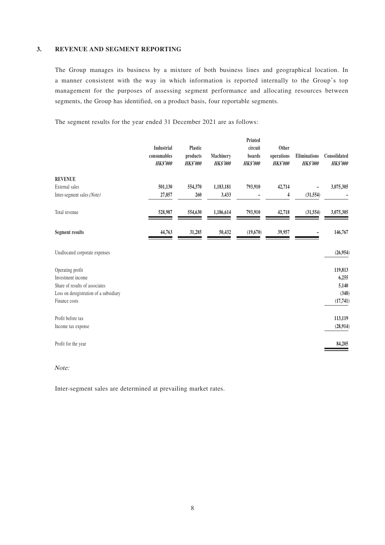#### **3. REVENUE AND SEGMENT REPORTING**

The Group manages its business by a mixture of both business lines and geographical location. In a manner consistent with the way in which information is reported internally to the Group's top management for the purposes of assessing segment performance and allocating resources between segments, the Group has identified, on a product basis, four reportable segments.

The segment results for the year ended 31 December 2021 are as follows:

|                                        | Industrial                     | <b>Plastic</b>              |                              | Printed<br>circuit        | Other                         |                                 |                                 |
|----------------------------------------|--------------------------------|-----------------------------|------------------------------|---------------------------|-------------------------------|---------------------------------|---------------------------------|
|                                        | consumables<br><b>HK\$'000</b> | products<br><b>HK\$'000</b> | Machinery<br><b>HK\$'000</b> | boards<br><b>HK\$'000</b> | operations<br><b>HK\$'000</b> | Eliminations<br><b>HK\$'000</b> | Consolidated<br><b>HK\$'000</b> |
| <b>REVENUE</b>                         |                                |                             |                              |                           |                               |                                 |                                 |
| External sales                         | 501,130                        | 554,370                     | 1,183,181                    | 793,910                   | 42,714                        |                                 | 3,075,305                       |
| Inter-segment sales (Note)             | 27,857                         | 260                         | 3,433                        |                           | 4                             | (31, 554)                       |                                 |
| Total revenue                          | 528,987                        | 554,630                     | 1,186,614                    | 793,910                   | 42,718                        | (31, 554)                       | 3,075,305                       |
| <b>Segment results</b>                 | 44,763                         | 31,285                      | 50,432                       | (19,670)                  | 39,957                        |                                 | 146,767                         |
| Unallocated corporate expenses         |                                |                             |                              |                           |                               |                                 | (26,954)                        |
| Operating profit                       |                                |                             |                              |                           |                               |                                 | 119,813                         |
| Investment income                      |                                |                             |                              |                           |                               |                                 | 6,255                           |
| Share of results of associates         |                                |                             |                              |                           |                               |                                 | 5,140                           |
| Loss on deregistration of a subsidiary |                                |                             |                              |                           |                               |                                 | (348)                           |
| Finance costs                          |                                |                             |                              |                           |                               |                                 | (17,741)                        |
| Profit before tax                      |                                |                             |                              |                           |                               |                                 | 113,119                         |
| Income tax expense                     |                                |                             |                              |                           |                               |                                 | (28,914)                        |
| Profit for the year                    |                                |                             |                              |                           |                               |                                 | 84,205                          |

Note:

Inter-segment sales are determined at prevailing market rates.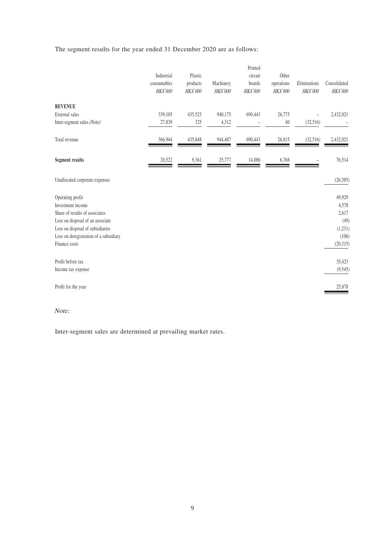The segment results for the year ended 31 December 2020 are as follows:

|                                        | Industrial<br>consumables<br><b>HK\$'000</b> | Plastic<br>products<br><b>HK\$'000</b> | Machinery<br><b>HK\$'000</b> | Printed<br>circuit<br>boards<br><b>HK\$'000</b> | Other<br>operations<br><b>HK\$'000</b> | Eliminations<br><b>HK\$'000</b> | Consolidated<br><b>HK\$'000</b> |
|----------------------------------------|----------------------------------------------|----------------------------------------|------------------------------|-------------------------------------------------|----------------------------------------|---------------------------------|---------------------------------|
| <b>REVENUE</b>                         |                                              |                                        |                              |                                                 |                                        |                                 |                                 |
| External sales                         | 339,105                                      | 435,523                                | 940,175                      | 690,443                                         | 26,775                                 |                                 | 2,432,021                       |
| Inter-segment sales (Note)             | 27,839                                       | 325                                    | 4,312                        |                                                 | 40                                     | (32,516)                        |                                 |
| Total revenue                          | 366,944                                      | 435,848                                | 944,487                      | 690,443                                         | 26,815                                 | (32,516)                        | 2,432,021                       |
| <b>Segment results</b>                 | 20,522                                       | 9,361                                  | 25,777                       | 14,086                                          | 6,768                                  |                                 | 76,514                          |
| Unallocated corporate expenses         |                                              |                                        |                              |                                                 |                                        |                                 | (26, 585)                       |
| Operating profit                       |                                              |                                        |                              |                                                 |                                        |                                 | 49,929                          |
| Investment income                      |                                              |                                        |                              |                                                 |                                        |                                 | 4,578                           |
| Share of results of associates         |                                              |                                        |                              |                                                 |                                        |                                 | 2,617                           |
| Loss on disposal of an associate       |                                              |                                        |                              |                                                 |                                        |                                 | (49)                            |
| Loss on disposal of subsidiaries       |                                              |                                        |                              |                                                 |                                        |                                 | (1, 231)                        |
| Loss on deregistration of a subsidiary |                                              |                                        |                              |                                                 |                                        |                                 | (106)                           |
| Finance costs                          |                                              |                                        |                              |                                                 |                                        |                                 | (20,315)                        |
| Profit before tax                      |                                              |                                        |                              |                                                 |                                        |                                 | 35,423                          |
| Income tax expense                     |                                              |                                        |                              |                                                 |                                        |                                 | (9, 545)                        |
| Profit for the year                    |                                              |                                        |                              |                                                 |                                        |                                 | 25,878                          |

Note:

Inter-segment sales are determined at prevailing market rates.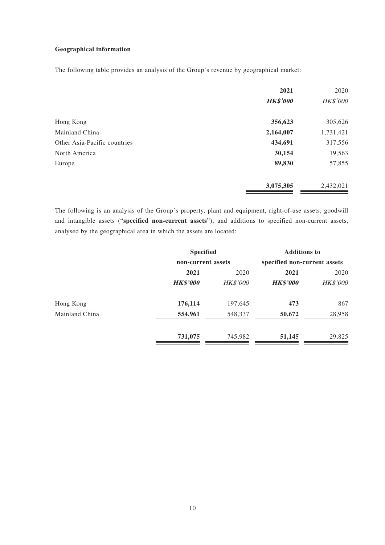### **Geographical information**

The following table provides an analysis of the Group's revenue by geographical market:

|                              | 2021            | 2020      |
|------------------------------|-----------------|-----------|
|                              | <b>HK\$'000</b> | HK\$'000  |
| Hong Kong                    | 356,623         | 305,626   |
| Mainland China               | 2,164,007       | 1,731,421 |
| Other Asia-Pacific countries | 434,691         | 317,556   |
| North America                | 30,154          | 19,563    |
| Europe                       | 89,830          | 57,855    |
|                              | 3,075,305       | 2,432,021 |

The following is an analysis of the Group's property, plant and equipment, right-of-use assets, goodwill and intangible assets ("**specified non-current assets**"), and additions to specified non-current assets, analysed by the geographical area in which the assets are located:

|                | <b>Specified</b>   | <b>Additions to</b> |                              |          |
|----------------|--------------------|---------------------|------------------------------|----------|
|                | non-current assets |                     | specified non-current assets |          |
|                | 2021               | 2020                | 2021                         | 2020     |
|                | <b>HK\$'000</b>    | <b>HK\$'000</b>     | <b>HK\$'000</b>              | HK\$'000 |
| Hong Kong      | 176,114            | 197,645             | 473                          | 867      |
| Mainland China | 554,961            | 548,337             | 50,672                       | 28,958   |
|                | 731,075            | 745,982             | 51,145                       | 29,825   |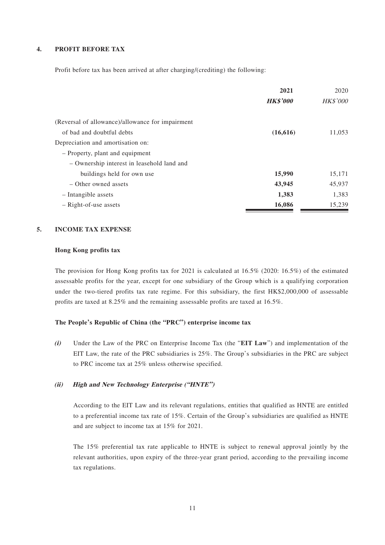#### **4. PROFIT BEFORE TAX**

Profit before tax has been arrived at after charging/(crediting) the following:

|                                                  | 2021            | 2020            |
|--------------------------------------------------|-----------------|-----------------|
|                                                  | <b>HK\$'000</b> | <b>HK\$'000</b> |
| (Reversal of allowance)/allowance for impairment |                 |                 |
| of bad and doubtful debts                        | (16, 616)       | 11,053          |
| Depreciation and amortisation on:                |                 |                 |
| - Property, plant and equipment                  |                 |                 |
| - Ownership interest in leasehold land and       |                 |                 |
| buildings held for own use                       | 15,990          | 15,171          |
| - Other owned assets                             | 43,945          | 45,937          |
| - Intangible assets                              | 1,383           | 1,383           |
| $-$ Right-of-use assets                          | 16,086          | 15,239          |

#### **5. INCOME TAX EXPENSE**

#### **Hong Kong profits tax**

The provision for Hong Kong profits tax for 2021 is calculated at 16.5% (2020: 16.5%) of the estimated assessable profits for the year, except for one subsidiary of the Group which is a qualifying corporation under the two-tiered profits tax rate regime. For this subsidiary, the first HK\$2,000,000 of assessable profits are taxed at 8.25% and the remaining assessable profits are taxed at 16.5%.

### **The People's Republic of China (the "PRC") enterprise income tax**

**(i)** Under the Law of the PRC on Enterprise Income Tax (the "**EIT Law**") and implementation of the EIT Law, the rate of the PRC subsidiaries is 25%. The Group's subsidiaries in the PRC are subject to PRC income tax at 25% unless otherwise specified.

### **(ii) High and New Technology Enterprise ("HNTE")**

According to the EIT Law and its relevant regulations, entities that qualified as HNTE are entitled to a preferential income tax rate of 15%. Certain of the Group's subsidiaries are qualified as HNTE and are subject to income tax at 15% for 2021.

The 15% preferential tax rate applicable to HNTE is subject to renewal approval jointly by the relevant authorities, upon expiry of the three-year grant period, according to the prevailing income tax regulations.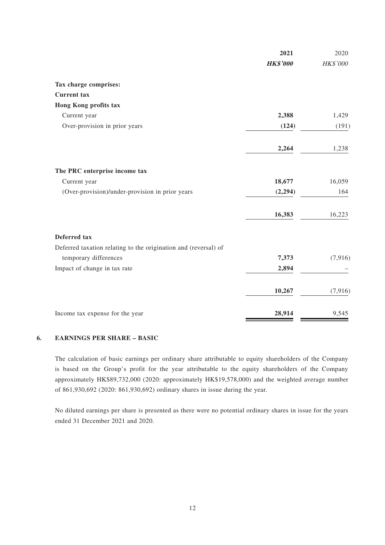|                                                                 | 2021            | 2020     |
|-----------------------------------------------------------------|-----------------|----------|
|                                                                 | <b>HK\$'000</b> | HK\$'000 |
| Tax charge comprises:                                           |                 |          |
| <b>Current</b> tax                                              |                 |          |
| Hong Kong profits tax                                           |                 |          |
| Current year                                                    | 2,388           | 1,429    |
| Over-provision in prior years                                   | (124)           | (191)    |
|                                                                 | 2,264           | 1,238    |
| The PRC enterprise income tax                                   |                 |          |
| Current year                                                    | 18,677          | 16,059   |
| (Over-provision)/under-provision in prior years                 | (2, 294)        | 164      |
|                                                                 | 16,383          | 16,223   |
| <b>Deferred</b> tax                                             |                 |          |
| Deferred taxation relating to the origination and (reversal) of |                 |          |
| temporary differences                                           | 7,373           | (7,916)  |
| Impact of change in tax rate                                    | 2,894           |          |
|                                                                 | 10,267          | (7, 916) |
| Income tax expense for the year                                 | 28,914          | 9,545    |

#### **6. EARNINGS PER SHARE – BASIC**

The calculation of basic earnings per ordinary share attributable to equity shareholders of the Company is based on the Group's profit for the year attributable to the equity shareholders of the Company approximately HK\$89,732,000 (2020: approximately HK\$19,578,000) and the weighted average number of 861,930,692 (2020: 861,930,692) ordinary shares in issue during the year.

No diluted earnings per share is presented as there were no potential ordinary shares in issue for the years ended 31 December 2021 and 2020.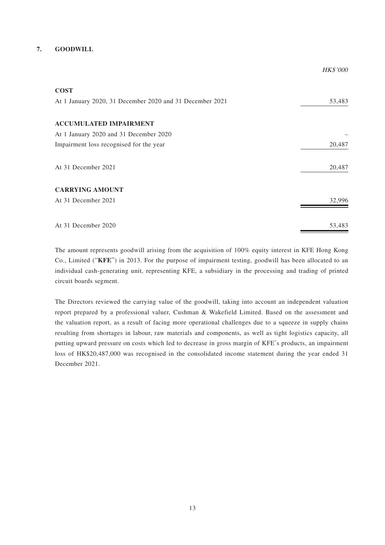### **7. GOODWILL**

| <b>COST</b>                                              |        |
|----------------------------------------------------------|--------|
| At 1 January 2020, 31 December 2020 and 31 December 2021 | 53,483 |
| <b>ACCUMULATED IMPAIRMENT</b>                            |        |
| At 1 January 2020 and 31 December 2020                   |        |
| Impairment loss recognised for the year                  | 20,487 |
| At 31 December 2021                                      | 20,487 |
| <b>CARRYING AMOUNT</b>                                   |        |
| At 31 December 2021                                      | 32,996 |
|                                                          |        |
| At 31 December 2020                                      | 53,483 |

HK\$'000

The amount represents goodwill arising from the acquisition of 100% equity interest in KFE Hong Kong Co., Limited ("**KFE**") in 2013. For the purpose of impairment testing, goodwill has been allocated to an individual cash-generating unit, representing KFE, a subsidiary in the processing and trading of printed circuit boards segment.

The Directors reviewed the carrying value of the goodwill, taking into account an independent valuation report prepared by a professional valuer, Cushman & Wakefield Limited. Based on the assessment and the valuation report, as a result of facing more operational challenges due to a squeeze in supply chains resulting from shortages in labour, raw materials and components, as well as tight logistics capacity, all putting upward pressure on costs which led to decrease in gross margin of KFE's products, an impairment loss of HK\$20,487,000 was recognised in the consolidated income statement during the year ended 31 December 2021.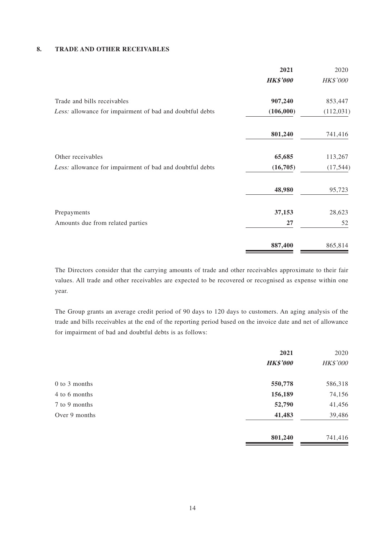### **8. TRADE AND OTHER RECEIVABLES**

|                                                          | 2021            | 2020            |
|----------------------------------------------------------|-----------------|-----------------|
|                                                          | <b>HK\$'000</b> | <b>HK\$'000</b> |
| Trade and bills receivables                              | 907,240         | 853,447         |
| Less: allowance for impairment of bad and doubtful debts | (106,000)       | (112, 031)      |
|                                                          | 801,240         | 741,416         |
| Other receivables                                        | 65,685          | 113,267         |
| Less: allowance for impairment of bad and doubtful debts | (16,705)        | (17, 544)       |
|                                                          | 48,980          | 95,723          |
| Prepayments                                              | 37,153          | 28,623          |
| Amounts due from related parties                         | 27              | 52              |
|                                                          | 887,400         | 865,814         |

The Directors consider that the carrying amounts of trade and other receivables approximate to their fair values. All trade and other receivables are expected to be recovered or recognised as expense within one year.

The Group grants an average credit period of 90 days to 120 days to customers. An aging analysis of the trade and bills receivables at the end of the reporting period based on the invoice date and net of allowance for impairment of bad and doubtful debts is as follows:

|               | 2021            | 2020     |
|---------------|-----------------|----------|
|               | <b>HK\$'000</b> | HK\$'000 |
| 0 to 3 months | 550,778         | 586,318  |
| 4 to 6 months | 156,189         | 74,156   |
| 7 to 9 months | 52,790          | 41,456   |
| Over 9 months | 41,483          | 39,486   |
|               | 801,240         | 741,416  |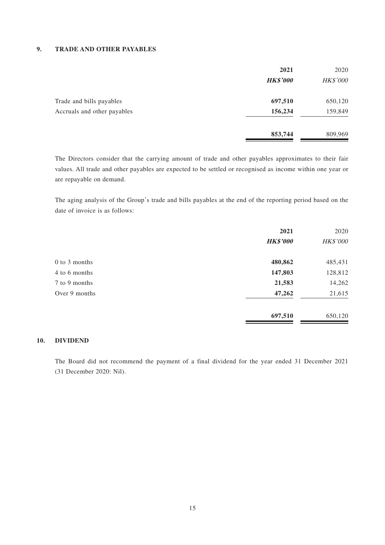#### **9. TRADE AND OTHER PAYABLES**

|                             | 2021            | 2020     |
|-----------------------------|-----------------|----------|
|                             | <b>HK\$'000</b> | HK\$'000 |
| Trade and bills payables    | 697,510         | 650,120  |
| Accruals and other payables | 156,234         | 159,849  |
|                             | 853,744         | 809,969  |

The Directors consider that the carrying amount of trade and other payables approximates to their fair values. All trade and other payables are expected to be settled or recognised as income within one year or are repayable on demand.

The aging analysis of the Group's trade and bills payables at the end of the reporting period based on the date of invoice is as follows:

|               | 2021            | 2020     |
|---------------|-----------------|----------|
|               | <b>HK\$'000</b> | HK\$'000 |
| 0 to 3 months | 480,862         | 485,431  |
| 4 to 6 months | 147,803         | 128,812  |
| 7 to 9 months | 21,583          | 14,262   |
| Over 9 months | 47,262          | 21,615   |
|               | 697,510         | 650,120  |

#### **10. DIVIDEND**

The Board did not recommend the payment of a final dividend for the year ended 31 December 2021 (31 December 2020: Nil).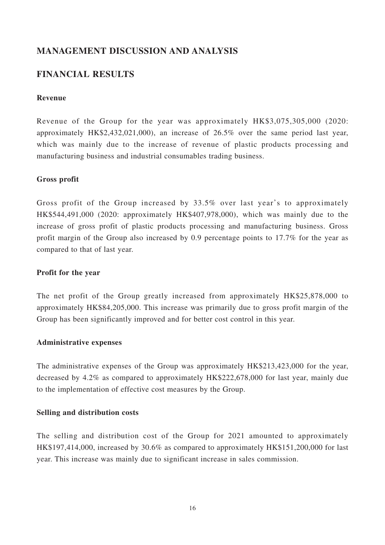## **MANAGEMENT DISCUSSION AND ANALYSIS**

## **FINANCIAL RESULTS**

### **Revenue**

Revenue of the Group for the year was approximately HK\$3,075,305,000 (2020: approximately HK\$2,432,021,000), an increase of 26.5% over the same period last year, which was mainly due to the increase of revenue of plastic products processing and manufacturing business and industrial consumables trading business.

### **Gross profit**

Gross profit of the Group increased by 33.5% over last year's to approximately HK\$544,491,000 (2020: approximately HK\$407,978,000), which was mainly due to the increase of gross profit of plastic products processing and manufacturing business. Gross profit margin of the Group also increased by 0.9 percentage points to 17.7% for the year as compared to that of last year.

### **Profit for the year**

The net profit of the Group greatly increased from approximately HK\$25,878,000 to approximately HK\$84,205,000. This increase was primarily due to gross profit margin of the Group has been significantly improved and for better cost control in this year.

### **Administrative expenses**

The administrative expenses of the Group was approximately HK\$213,423,000 for the year, decreased by 4.2% as compared to approximately HK\$222,678,000 for last year, mainly due to the implementation of effective cost measures by the Group.

### **Selling and distribution costs**

The selling and distribution cost of the Group for 2021 amounted to approximately HK\$197,414,000, increased by 30.6% as compared to approximately HK\$151,200,000 for last year. This increase was mainly due to significant increase in sales commission.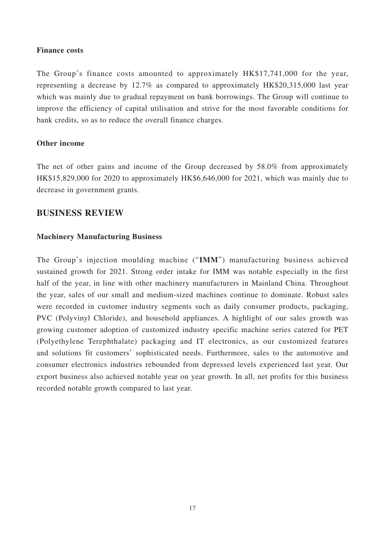### **Finance costs**

The Group's finance costs amounted to approximately HK\$17,741,000 for the year, representing a decrease by 12.7% as compared to approximately HK\$20,315,000 last year which was mainly due to gradual repayment on bank borrowings. The Group will continue to improve the efficiency of capital utilisation and strive for the most favorable conditions for bank credits, so as to reduce the overall finance charges.

## **Other income**

The net of other gains and income of the Group decreased by 58.0% from approximately HK\$15,829,000 for 2020 to approximately HK\$6,646,000 for 2021, which was mainly due to decrease in government grants.

## **BUSINESS REVIEW**

## **Machinery Manufacturing Business**

The Group's injection moulding machine ("**IMM**") manufacturing business achieved sustained growth for 2021. Strong order intake for IMM was notable especially in the first half of the year, in line with other machinery manufacturers in Mainland China. Throughout the year, sales of our small and medium-sized machines continue to dominate. Robust sales were recorded in customer industry segments such as daily consumer products, packaging, PVC (Polyvinyl Chloride), and household appliances. A highlight of our sales growth was growing customer adoption of customized industry specific machine series catered for PET (Polyethylene Terephthalate) packaging and IT electronics, as our customized features and solutions fit customers' sophisticated needs. Furthermore, sales to the automotive and consumer electronics industries rebounded from depressed levels experienced last year. Our export business also achieved notable year on year growth. In all, net profits for this business recorded notable growth compared to last year.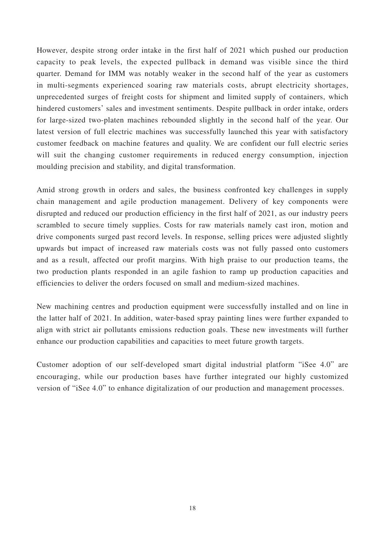However, despite strong order intake in the first half of 2021 which pushed our production capacity to peak levels, the expected pullback in demand was visible since the third quarter. Demand for IMM was notably weaker in the second half of the year as customers in multi-segments experienced soaring raw materials costs, abrupt electricity shortages, unprecedented surges of freight costs for shipment and limited supply of containers, which hindered customers' sales and investment sentiments. Despite pullback in order intake, orders for large-sized two-platen machines rebounded slightly in the second half of the year. Our latest version of full electric machines was successfully launched this year with satisfactory customer feedback on machine features and quality. We are confident our full electric series will suit the changing customer requirements in reduced energy consumption, injection moulding precision and stability, and digital transformation.

Amid strong growth in orders and sales, the business confronted key challenges in supply chain management and agile production management. Delivery of key components were disrupted and reduced our production efficiency in the first half of 2021, as our industry peers scrambled to secure timely supplies. Costs for raw materials namely cast iron, motion and drive components surged past record levels. In response, selling prices were adjusted slightly upwards but impact of increased raw materials costs was not fully passed onto customers and as a result, affected our profit margins. With high praise to our production teams, the two production plants responded in an agile fashion to ramp up production capacities and efficiencies to deliver the orders focused on small and medium-sized machines.

New machining centres and production equipment were successfully installed and on line in the latter half of 2021. In addition, water-based spray painting lines were further expanded to align with strict air pollutants emissions reduction goals. These new investments will further enhance our production capabilities and capacities to meet future growth targets.

Customer adoption of our self-developed smart digital industrial platform "iSee 4.0" are encouraging, while our production bases have further integrated our highly customized version of "iSee 4.0" to enhance digitalization of our production and management processes.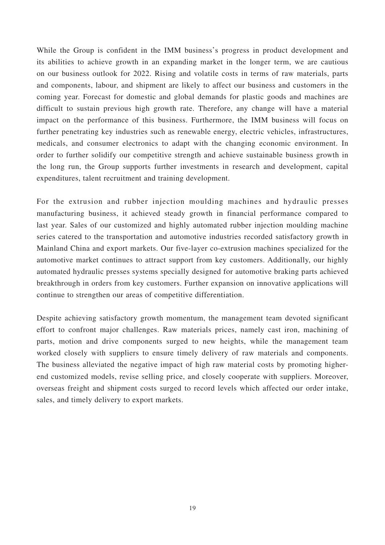While the Group is confident in the IMM business's progress in product development and its abilities to achieve growth in an expanding market in the longer term, we are cautious on our business outlook for 2022. Rising and volatile costs in terms of raw materials, parts and components, labour, and shipment are likely to affect our business and customers in the coming year. Forecast for domestic and global demands for plastic goods and machines are difficult to sustain previous high growth rate. Therefore, any change will have a material impact on the performance of this business. Furthermore, the IMM business will focus on further penetrating key industries such as renewable energy, electric vehicles, infrastructures, medicals, and consumer electronics to adapt with the changing economic environment. In order to further solidify our competitive strength and achieve sustainable business growth in the long run, the Group supports further investments in research and development, capital expenditures, talent recruitment and training development.

For the extrusion and rubber injection moulding machines and hydraulic presses manufacturing business, it achieved steady growth in financial performance compared to last year. Sales of our customized and highly automated rubber injection moulding machine series catered to the transportation and automotive industries recorded satisfactory growth in Mainland China and export markets. Our five-layer co-extrusion machines specialized for the automotive market continues to attract support from key customers. Additionally, our highly automated hydraulic presses systems specially designed for automotive braking parts achieved breakthrough in orders from key customers. Further expansion on innovative applications will continue to strengthen our areas of competitive differentiation.

Despite achieving satisfactory growth momentum, the management team devoted significant effort to confront major challenges. Raw materials prices, namely cast iron, machining of parts, motion and drive components surged to new heights, while the management team worked closely with suppliers to ensure timely delivery of raw materials and components. The business alleviated the negative impact of high raw material costs by promoting higherend customized models, revise selling price, and closely cooperate with suppliers. Moreover, overseas freight and shipment costs surged to record levels which affected our order intake, sales, and timely delivery to export markets.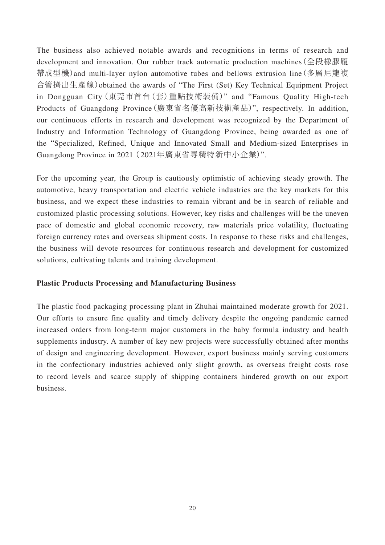The business also achieved notable awards and recognitions in terms of research and development and innovation. Our rubber track automatic production machines(全段橡膠履 帶成型機)and multi-layer nylon automotive tubes and bellows extrusion line(多層尼龍複 合管擠出生產線)obtained the awards of "The First (Set) Key Technical Equipment Project in Dongguan City(東莞市首台(套)重點技術裝備)" and "Famous Quality High-tech Products of Guangdong Province(廣東省名優高新技術產品)", respectively. In addition, our continuous efforts in research and development was recognized by the Department of Industry and Information Technology of Guangdong Province, being awarded as one of the "Specialized, Refined, Unique and Innovated Small and Medium-sized Enterprises in Guangdong Province in 2021 (2021年廣東省專精特新中小企業)".

For the upcoming year, the Group is cautiously optimistic of achieving steady growth. The automotive, heavy transportation and electric vehicle industries are the key markets for this business, and we expect these industries to remain vibrant and be in search of reliable and customized plastic processing solutions. However, key risks and challenges will be the uneven pace of domestic and global economic recovery, raw materials price volatility, fluctuating foreign currency rates and overseas shipment costs. In response to these risks and challenges, the business will devote resources for continuous research and development for customized solutions, cultivating talents and training development.

### **Plastic Products Processing and Manufacturing Business**

The plastic food packaging processing plant in Zhuhai maintained moderate growth for 2021. Our efforts to ensure fine quality and timely delivery despite the ongoing pandemic earned increased orders from long-term major customers in the baby formula industry and health supplements industry. A number of key new projects were successfully obtained after months of design and engineering development. However, export business mainly serving customers in the confectionary industries achieved only slight growth, as overseas freight costs rose to record levels and scarce supply of shipping containers hindered growth on our export business.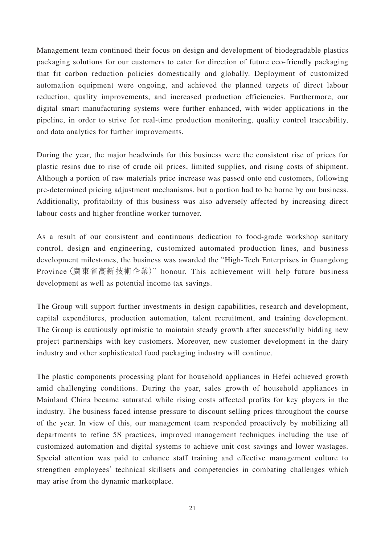Management team continued their focus on design and development of biodegradable plastics packaging solutions for our customers to cater for direction of future eco-friendly packaging that fit carbon reduction policies domestically and globally. Deployment of customized automation equipment were ongoing, and achieved the planned targets of direct labour reduction, quality improvements, and increased production efficiencies. Furthermore, our digital smart manufacturing systems were further enhanced, with wider applications in the pipeline, in order to strive for real-time production monitoring, quality control traceability, and data analytics for further improvements.

During the year, the major headwinds for this business were the consistent rise of prices for plastic resins due to rise of crude oil prices, limited supplies, and rising costs of shipment. Although a portion of raw materials price increase was passed onto end customers, following pre-determined pricing adjustment mechanisms, but a portion had to be borne by our business. Additionally, profitability of this business was also adversely affected by increasing direct labour costs and higher frontline worker turnover.

As a result of our consistent and continuous dedication to food-grade workshop sanitary control, design and engineering, customized automated production lines, and business development milestones, the business was awarded the "High-Tech Enterprises in Guangdong Province(廣東省高新技術企業)" honour. This achievement will help future business development as well as potential income tax savings.

The Group will support further investments in design capabilities, research and development, capital expenditures, production automation, talent recruitment, and training development. The Group is cautiously optimistic to maintain steady growth after successfully bidding new project partnerships with key customers. Moreover, new customer development in the dairy industry and other sophisticated food packaging industry will continue.

The plastic components processing plant for household appliances in Hefei achieved growth amid challenging conditions. During the year, sales growth of household appliances in Mainland China became saturated while rising costs affected profits for key players in the industry. The business faced intense pressure to discount selling prices throughout the course of the year. In view of this, our management team responded proactively by mobilizing all departments to refine 5S practices, improved management techniques including the use of customized automation and digital systems to achieve unit cost savings and lower wastages. Special attention was paid to enhance staff training and effective management culture to strengthen employees' technical skillsets and competencies in combating challenges which may arise from the dynamic marketplace.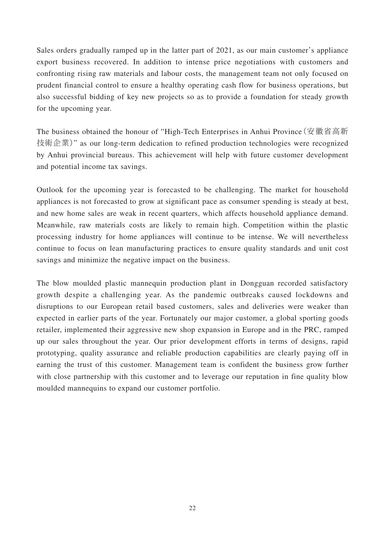Sales orders gradually ramped up in the latter part of 2021, as our main customer's appliance export business recovered. In addition to intense price negotiations with customers and confronting rising raw materials and labour costs, the management team not only focused on prudent financial control to ensure a healthy operating cash flow for business operations, but also successful bidding of key new projects so as to provide a foundation for steady growth for the upcoming year.

The business obtained the honour of "High-Tech Enterprises in Anhui Province(安徽省高新 技術企業)" as our long-term dedication to refined production technologies were recognized by Anhui provincial bureaus. This achievement will help with future customer development and potential income tax savings.

Outlook for the upcoming year is forecasted to be challenging. The market for household appliances is not forecasted to grow at significant pace as consumer spending is steady at best, and new home sales are weak in recent quarters, which affects household appliance demand. Meanwhile, raw materials costs are likely to remain high. Competition within the plastic processing industry for home appliances will continue to be intense. We will nevertheless continue to focus on lean manufacturing practices to ensure quality standards and unit cost savings and minimize the negative impact on the business.

The blow moulded plastic mannequin production plant in Dongguan recorded satisfactory growth despite a challenging year. As the pandemic outbreaks caused lockdowns and disruptions to our European retail based customers, sales and deliveries were weaker than expected in earlier parts of the year. Fortunately our major customer, a global sporting goods retailer, implemented their aggressive new shop expansion in Europe and in the PRC, ramped up our sales throughout the year. Our prior development efforts in terms of designs, rapid prototyping, quality assurance and reliable production capabilities are clearly paying off in earning the trust of this customer. Management team is confident the business grow further with close partnership with this customer and to leverage our reputation in fine quality blow moulded mannequins to expand our customer portfolio.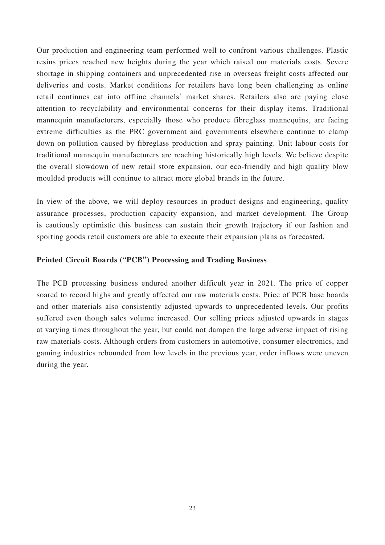Our production and engineering team performed well to confront various challenges. Plastic resins prices reached new heights during the year which raised our materials costs. Severe shortage in shipping containers and unprecedented rise in overseas freight costs affected our deliveries and costs. Market conditions for retailers have long been challenging as online retail continues eat into offline channels' market shares. Retailers also are paying close attention to recyclability and environmental concerns for their display items. Traditional mannequin manufacturers, especially those who produce fibreglass mannequins, are facing extreme difficulties as the PRC government and governments elsewhere continue to clamp down on pollution caused by fibreglass production and spray painting. Unit labour costs for traditional mannequin manufacturers are reaching historically high levels. We believe despite the overall slowdown of new retail store expansion, our eco-friendly and high quality blow moulded products will continue to attract more global brands in the future.

In view of the above, we will deploy resources in product designs and engineering, quality assurance processes, production capacity expansion, and market development. The Group is cautiously optimistic this business can sustain their growth trajectory if our fashion and sporting goods retail customers are able to execute their expansion plans as forecasted.

### **Printed Circuit Boards ("PCB") Processing and Trading Business**

The PCB processing business endured another difficult year in 2021. The price of copper soared to record highs and greatly affected our raw materials costs. Price of PCB base boards and other materials also consistently adjusted upwards to unprecedented levels. Our profits suffered even though sales volume increased. Our selling prices adjusted upwards in stages at varying times throughout the year, but could not dampen the large adverse impact of rising raw materials costs. Although orders from customers in automotive, consumer electronics, and gaming industries rebounded from low levels in the previous year, order inflows were uneven during the year.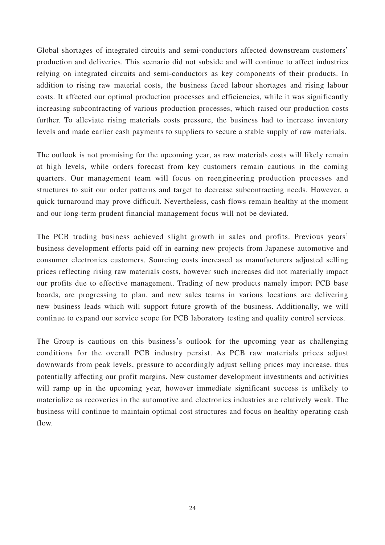Global shortages of integrated circuits and semi-conductors affected downstream customers' production and deliveries. This scenario did not subside and will continue to affect industries relying on integrated circuits and semi-conductors as key components of their products. In addition to rising raw material costs, the business faced labour shortages and rising labour costs. It affected our optimal production processes and efficiencies, while it was significantly increasing subcontracting of various production processes, which raised our production costs further. To alleviate rising materials costs pressure, the business had to increase inventory levels and made earlier cash payments to suppliers to secure a stable supply of raw materials.

The outlook is not promising for the upcoming year, as raw materials costs will likely remain at high levels, while orders forecast from key customers remain cautious in the coming quarters. Our management team will focus on reengineering production processes and structures to suit our order patterns and target to decrease subcontracting needs. However, a quick turnaround may prove difficult. Nevertheless, cash flows remain healthy at the moment and our long-term prudent financial management focus will not be deviated.

The PCB trading business achieved slight growth in sales and profits. Previous years' business development efforts paid off in earning new projects from Japanese automotive and consumer electronics customers. Sourcing costs increased as manufacturers adjusted selling prices reflecting rising raw materials costs, however such increases did not materially impact our profits due to effective management. Trading of new products namely import PCB base boards, are progressing to plan, and new sales teams in various locations are delivering new business leads which will support future growth of the business. Additionally, we will continue to expand our service scope for PCB laboratory testing and quality control services.

The Group is cautious on this business's outlook for the upcoming year as challenging conditions for the overall PCB industry persist. As PCB raw materials prices adjust downwards from peak levels, pressure to accordingly adjust selling prices may increase, thus potentially affecting our profit margins. New customer development investments and activities will ramp up in the upcoming year, however immediate significant success is unlikely to materialize as recoveries in the automotive and electronics industries are relatively weak. The business will continue to maintain optimal cost structures and focus on healthy operating cash flow.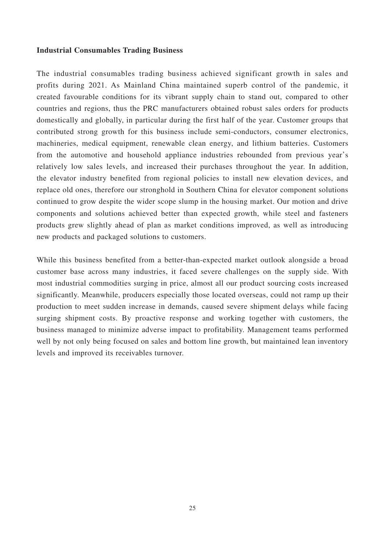### **Industrial Consumables Trading Business**

The industrial consumables trading business achieved significant growth in sales and profits during 2021. As Mainland China maintained superb control of the pandemic, it created favourable conditions for its vibrant supply chain to stand out, compared to other countries and regions, thus the PRC manufacturers obtained robust sales orders for products domestically and globally, in particular during the first half of the year. Customer groups that contributed strong growth for this business include semi-conductors, consumer electronics, machineries, medical equipment, renewable clean energy, and lithium batteries. Customers from the automotive and household appliance industries rebounded from previous year's relatively low sales levels, and increased their purchases throughout the year. In addition, the elevator industry benefited from regional policies to install new elevation devices, and replace old ones, therefore our stronghold in Southern China for elevator component solutions continued to grow despite the wider scope slump in the housing market. Our motion and drive components and solutions achieved better than expected growth, while steel and fasteners products grew slightly ahead of plan as market conditions improved, as well as introducing new products and packaged solutions to customers.

While this business benefited from a better-than-expected market outlook alongside a broad customer base across many industries, it faced severe challenges on the supply side. With most industrial commodities surging in price, almost all our product sourcing costs increased significantly. Meanwhile, producers especially those located overseas, could not ramp up their production to meet sudden increase in demands, caused severe shipment delays while facing surging shipment costs. By proactive response and working together with customers, the business managed to minimize adverse impact to profitability. Management teams performed well by not only being focused on sales and bottom line growth, but maintained lean inventory levels and improved its receivables turnover.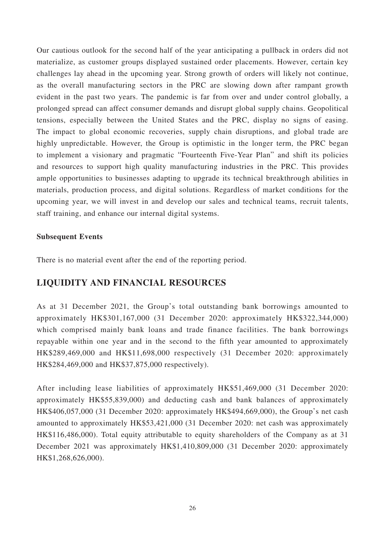Our cautious outlook for the second half of the year anticipating a pullback in orders did not materialize, as customer groups displayed sustained order placements. However, certain key challenges lay ahead in the upcoming year. Strong growth of orders will likely not continue, as the overall manufacturing sectors in the PRC are slowing down after rampant growth evident in the past two years. The pandemic is far from over and under control globally, a prolonged spread can affect consumer demands and disrupt global supply chains. Geopolitical tensions, especially between the United States and the PRC, display no signs of easing. The impact to global economic recoveries, supply chain disruptions, and global trade are highly unpredictable. However, the Group is optimistic in the longer term, the PRC began to implement a visionary and pragmatic "Fourteenth Five-Year Plan" and shift its policies and resources to support high quality manufacturing industries in the PRC. This provides ample opportunities to businesses adapting to upgrade its technical breakthrough abilities in materials, production process, and digital solutions. Regardless of market conditions for the upcoming year, we will invest in and develop our sales and technical teams, recruit talents, staff training, and enhance our internal digital systems.

### **Subsequent Events**

There is no material event after the end of the reporting period.

## **LIQUIDITY AND FINANCIAL RESOURCES**

As at 31 December 2021, the Group's total outstanding bank borrowings amounted to approximately HK\$301,167,000 (31 December 2020: approximately HK\$322,344,000) which comprised mainly bank loans and trade finance facilities. The bank borrowings repayable within one year and in the second to the fifth year amounted to approximately HK\$289,469,000 and HK\$11,698,000 respectively (31 December 2020: approximately HK\$284,469,000 and HK\$37,875,000 respectively).

After including lease liabilities of approximately HK\$51,469,000 (31 December 2020: approximately HK\$55,839,000) and deducting cash and bank balances of approximately HK\$406,057,000 (31 December 2020: approximately HK\$494,669,000), the Group's net cash amounted to approximately HK\$53,421,000 (31 December 2020: net cash was approximately HK\$116,486,000). Total equity attributable to equity shareholders of the Company as at 31 December 2021 was approximately HK\$1,410,809,000 (31 December 2020: approximately HK\$1,268,626,000).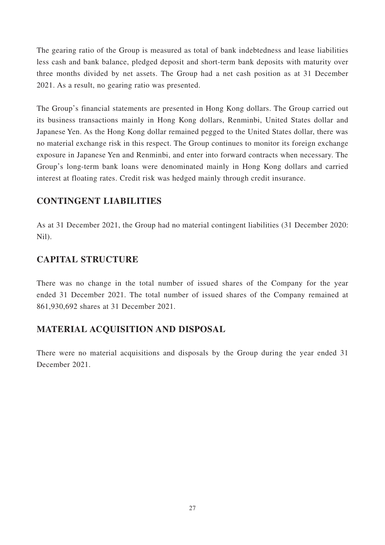The gearing ratio of the Group is measured as total of bank indebtedness and lease liabilities less cash and bank balance, pledged deposit and short-term bank deposits with maturity over three months divided by net assets. The Group had a net cash position as at 31 December 2021. As a result, no gearing ratio was presented.

The Group's financial statements are presented in Hong Kong dollars. The Group carried out its business transactions mainly in Hong Kong dollars, Renminbi, United States dollar and Japanese Yen. As the Hong Kong dollar remained pegged to the United States dollar, there was no material exchange risk in this respect. The Group continues to monitor its foreign exchange exposure in Japanese Yen and Renminbi, and enter into forward contracts when necessary. The Group's long-term bank loans were denominated mainly in Hong Kong dollars and carried interest at floating rates. Credit risk was hedged mainly through credit insurance.

## **CONTINGENT LIABILITIES**

As at 31 December 2021, the Group had no material contingent liabilities (31 December 2020: Nil).

## **CAPITAL STRUCTURE**

There was no change in the total number of issued shares of the Company for the year ended 31 December 2021. The total number of issued shares of the Company remained at 861,930,692 shares at 31 December 2021.

# **MATERIAL ACQUISITION AND DISPOSAL**

There were no material acquisitions and disposals by the Group during the year ended 31 December 2021.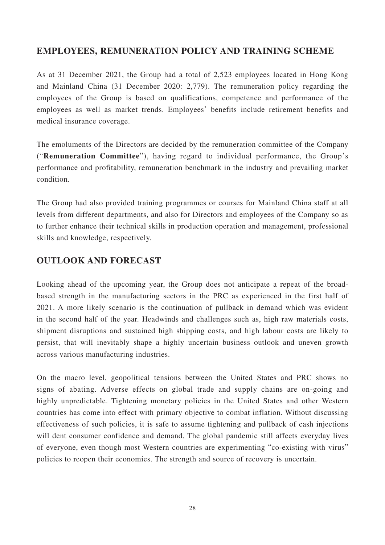## **EMPLOYEES, REMUNERATION POLICY AND TRAINING SCHEME**

As at 31 December 2021, the Group had a total of 2,523 employees located in Hong Kong and Mainland China (31 December 2020: 2,779). The remuneration policy regarding the employees of the Group is based on qualifications, competence and performance of the employees as well as market trends. Employees' benefits include retirement benefits and medical insurance coverage.

The emoluments of the Directors are decided by the remuneration committee of the Company ("**Remuneration Committee**"), having regard to individual performance, the Group's performance and profitability, remuneration benchmark in the industry and prevailing market condition.

The Group had also provided training programmes or courses for Mainland China staff at all levels from different departments, and also for Directors and employees of the Company so as to further enhance their technical skills in production operation and management, professional skills and knowledge, respectively.

## **OUTLOOK AND FORECAST**

Looking ahead of the upcoming year, the Group does not anticipate a repeat of the broadbased strength in the manufacturing sectors in the PRC as experienced in the first half of 2021. A more likely scenario is the continuation of pullback in demand which was evident in the second half of the year. Headwinds and challenges such as, high raw materials costs, shipment disruptions and sustained high shipping costs, and high labour costs are likely to persist, that will inevitably shape a highly uncertain business outlook and uneven growth across various manufacturing industries.

On the macro level, geopolitical tensions between the United States and PRC shows no signs of abating. Adverse effects on global trade and supply chains are on-going and highly unpredictable. Tightening monetary policies in the United States and other Western countries has come into effect with primary objective to combat inflation. Without discussing effectiveness of such policies, it is safe to assume tightening and pullback of cash injections will dent consumer confidence and demand. The global pandemic still affects everyday lives of everyone, even though most Western countries are experimenting "co-existing with virus" policies to reopen their economies. The strength and source of recovery is uncertain.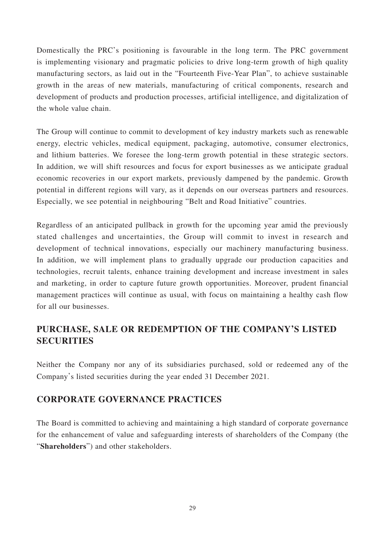Domestically the PRC's positioning is favourable in the long term. The PRC government is implementing visionary and pragmatic policies to drive long-term growth of high quality manufacturing sectors, as laid out in the "Fourteenth Five-Year Plan", to achieve sustainable growth in the areas of new materials, manufacturing of critical components, research and development of products and production processes, artificial intelligence, and digitalization of the whole value chain.

The Group will continue to commit to development of key industry markets such as renewable energy, electric vehicles, medical equipment, packaging, automotive, consumer electronics, and lithium batteries. We foresee the long-term growth potential in these strategic sectors. In addition, we will shift resources and focus for export businesses as we anticipate gradual economic recoveries in our export markets, previously dampened by the pandemic. Growth potential in different regions will vary, as it depends on our overseas partners and resources. Especially, we see potential in neighbouring "Belt and Road Initiative" countries.

Regardless of an anticipated pullback in growth for the upcoming year amid the previously stated challenges and uncertainties, the Group will commit to invest in research and development of technical innovations, especially our machinery manufacturing business. In addition, we will implement plans to gradually upgrade our production capacities and technologies, recruit talents, enhance training development and increase investment in sales and marketing, in order to capture future growth opportunities. Moreover, prudent financial management practices will continue as usual, with focus on maintaining a healthy cash flow for all our businesses.

# **PURCHASE, SALE OR REDEMPTION OF THE COMPANY'S LISTED SECURITIES**

Neither the Company nor any of its subsidiaries purchased, sold or redeemed any of the Company's listed securities during the year ended 31 December 2021.

# **CORPORATE GOVERNANCE PRACTICES**

The Board is committed to achieving and maintaining a high standard of corporate governance for the enhancement of value and safeguarding interests of shareholders of the Company (the "**Shareholders**") and other stakeholders.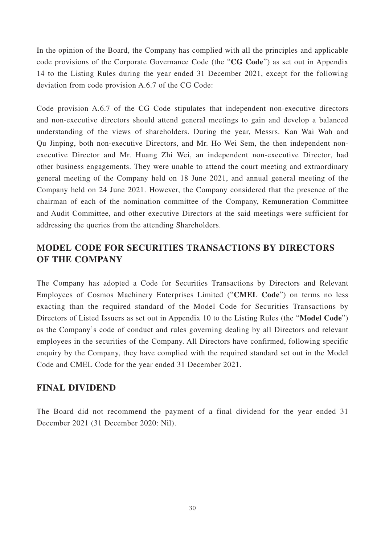In the opinion of the Board, the Company has complied with all the principles and applicable code provisions of the Corporate Governance Code (the "**CG Code**") as set out in Appendix 14 to the Listing Rules during the year ended 31 December 2021, except for the following deviation from code provision A.6.7 of the CG Code:

Code provision A.6.7 of the CG Code stipulates that independent non-executive directors and non-executive directors should attend general meetings to gain and develop a balanced understanding of the views of shareholders. During the year, Messrs. Kan Wai Wah and Qu Jinping, both non-executive Directors, and Mr. Ho Wei Sem, the then independent nonexecutive Director and Mr. Huang Zhi Wei, an independent non-executive Director, had other business engagements. They were unable to attend the court meeting and extraordinary general meeting of the Company held on 18 June 2021, and annual general meeting of the Company held on 24 June 2021. However, the Company considered that the presence of the chairman of each of the nomination committee of the Company, Remuneration Committee and Audit Committee, and other executive Directors at the said meetings were sufficient for addressing the queries from the attending Shareholders.

# **MODEL CODE FOR SECURITIES TRANSACTIONS BY DIRECTORS OF THE COMPANY**

The Company has adopted a Code for Securities Transactions by Directors and Relevant Employees of Cosmos Machinery Enterprises Limited ("**CMEL Code**") on terms no less exacting than the required standard of the Model Code for Securities Transactions by Directors of Listed Issuers as set out in Appendix 10 to the Listing Rules (the "**Model Code**") as the Company's code of conduct and rules governing dealing by all Directors and relevant employees in the securities of the Company. All Directors have confirmed, following specific enquiry by the Company, they have complied with the required standard set out in the Model Code and CMEL Code for the year ended 31 December 2021.

## **FINAL DIVIDEND**

The Board did not recommend the payment of a final dividend for the year ended 31 December 2021 (31 December 2020: Nil).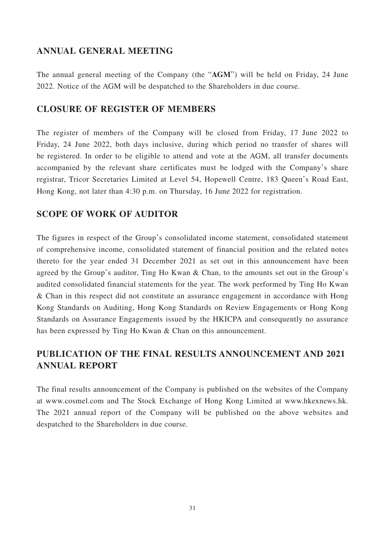## **ANNUAL GENERAL MEETING**

The annual general meeting of the Company (the "**AGM**") will be held on Friday, 24 June 2022. Notice of the AGM will be despatched to the Shareholders in due course.

## **CLOSURE OF REGISTER OF MEMBERS**

The register of members of the Company will be closed from Friday, 17 June 2022 to Friday, 24 June 2022, both days inclusive, during which period no transfer of shares will be registered. In order to be eligible to attend and vote at the AGM, all transfer documents accompanied by the relevant share certificates must be lodged with the Company's share registrar, Tricor Secretaries Limited at Level 54, Hopewell Centre, 183 Queen's Road East, Hong Kong, not later than 4:30 p.m. on Thursday, 16 June 2022 for registration.

## **SCOPE OF WORK OF AUDITOR**

The figures in respect of the Group's consolidated income statement, consolidated statement of comprehensive income, consolidated statement of financial position and the related notes thereto for the year ended 31 December 2021 as set out in this announcement have been agreed by the Group's auditor, Ting Ho Kwan & Chan, to the amounts set out in the Group's audited consolidated financial statements for the year. The work performed by Ting Ho Kwan & Chan in this respect did not constitute an assurance engagement in accordance with Hong Kong Standards on Auditing, Hong Kong Standards on Review Engagements or Hong Kong Standards on Assurance Engagements issued by the HKICPA and consequently no assurance has been expressed by Ting Ho Kwan & Chan on this announcement.

# **PUBLICATION OF THE FINAL RESULTS ANNOUNCEMENT AND 2021 ANNUAL REPORT**

The final results announcement of the Company is published on the websites of the Company at www.cosmel.com and The Stock Exchange of Hong Kong Limited at www.hkexnews.hk. The 2021 annual report of the Company will be published on the above websites and despatched to the Shareholders in due course.